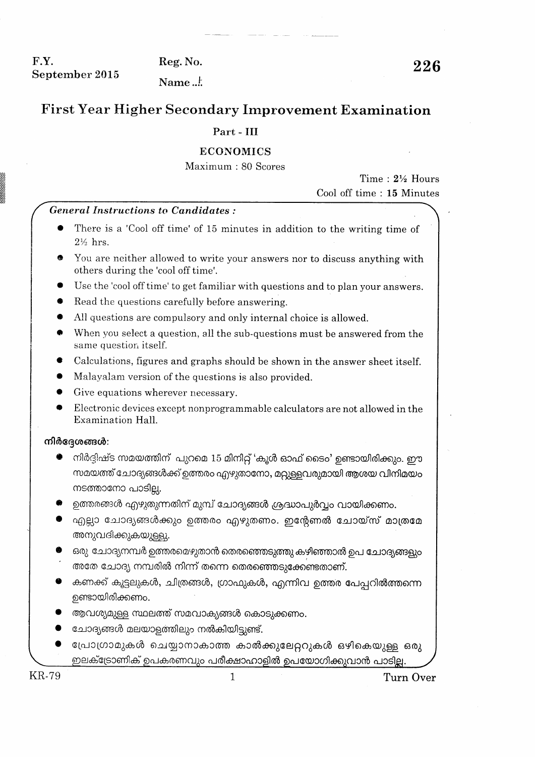F.Y. September 2015

Reg. No.

226

Name  $\pm$ 

# **First Year Higher Secondary Improvement Examination**

## Part - III

## **ECONOMICS**

Maximum: 80 Scores

Time:  $2\frac{1}{2}$  Hours Cool off time: 15 Minutes

#### **General Instructions to Candidates:**

- There is a 'Cool off time' of 15 minutes in addition to the writing time of  $2\frac{1}{2}$  hrs.
- You are neither allowed to write your answers nor to discuss anything with others during the 'cool off time'.
- Use the 'cool off time' to get familiar with questions and to plan your answers.
- Read the questions carefully before answering.
- All questions are compulsory and only internal choice is allowed.
- When you select a question, all the sub-questions must be answered from the same question itself.
- Calculations, figures and graphs should be shown in the answer sheet itself.
- Malayalam version of the questions is also provided.
- Give equations wherever necessary.
- Electronic devices except nonprogrammable calculators are not allowed in the Examination Hall.

#### നിർദ്ദേശങ്ങൾ:

- നിർദ്ദിഷ്ട സമയത്തിന് പുറമെ 15 മിനിറ്റ് 'കൂൾ ഓഫ് ടൈം' ഉണ്ടായിരിക്കും. ഈ സമയത്ത് ചോദ്യങ്ങൾക്ക് ഉത്തരം എഴുതാനോ, മറ്റുള്ളവരുമായി ആശയ വിനിമയം നടത്താനോ പാടില്ല.
- ഉത്തരങ്ങൾ എഴുതുന്നതിന് മുമ്പ് ചോദ്യങ്ങൾ ശ്രദ്ധാപുർവ്വം വായിക്കണം.
- എല്ലാ ചോദ്യങ്ങൾക്കും ഉത്തരം എഴുതണം. ഇന്റേണൽ ചോയ്സ് മാത്രമേ അനുവദിക്കുകയുള്ളു.
- ഒരു ചോദ്യനമ്പർ ഉത്തരമെഴുതാൻ തെരഞ്ഞെടുത്തു കഴിഞ്ഞാൽ ഉപ ചോദ്യങ്ങളും അതേ ചോദ്യ നമ്പരിൽ നിന്ന് തന്നെ തെരഞ്ഞെടുക്കേണ്ടതാണ്.
- കണക്ക് കൂട്ടലുകൾ, ചിത്രങ്ങൾ, ഗ്രാഫുകൾ, എന്നിവ ഉത്തര പേപ്പറിൽത്തന്നെ ഉണ്ടായിരിക്കണം.
- ആവശ്യമുള്ള സ്ഥലത്ത് സമവാക്യങ്ങൾ കൊടുക്കണം.
- ചോദ്യങ്ങൾ മലയാളത്തിലും നൽകിയിട്ടുണ്ട്.
- പ്രോഗ്രാമുകൾ ചെയ്യാനാകാത്ത കാൽക്കുലേറ്ററുകൾ ഒഴികെയുള്ള ഒരു ഇലക്ട്രോണിക് ഉപകരണവും പരീക്ഷാഹാളിൽ ഉപയോഗിക്കുവാൻ പാടില്ല.

**KR-79** 

Turn Over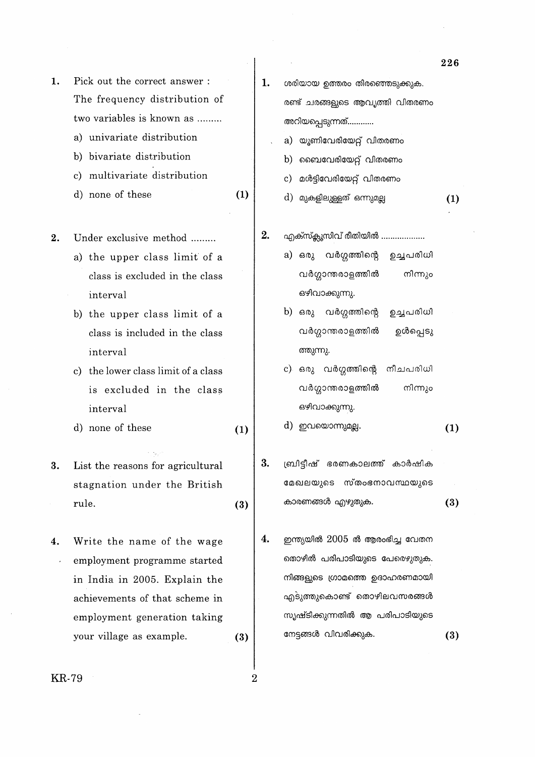- a) univariate distribution
- b) bivariate distribution
- c) multivariate distribution
- d) none of these  $(1)$

 $2.$ Under exclusive method ........

- a) the upper class limit of a class is excluded in the class interval
- b) the upper class limit of a class is included in the class interval
- c) the lower class limit of a class is excluded in the class interval
- d) none of these  $(1)$
- 3. List the reasons for agricultural stagnation under the British rule.  $(3)$
- Write the name of the wage  $\boldsymbol{4}$ . employment programme started  $\lambda$ in India in 2005. Explain the achievements of that scheme in employment generation taking your village as example.  $(3)$

ശരിയായ ഉത്തരം തിരഞ്ഞെടുക്കുക. രണ്ട് ചരങ്ങളുടെ ആവൃത്തി വിതരണം അറിയപ്പെടുന്നത്............ a) യൂണിവേരിയേറ്റ് വിതരണം b) ബൈവേരിയേറ്റ് വിതരണം മൾട്ടിവേരിയേറ്റ് വിതരണം  $c)$ d) മുകളിലുള്ളത് ഒന്നുമല്ല  $(1)$ എക്സ്ക്ലൂസിവ് രീതിയിൽ ................... a) ഒരു വർഗ്ഗത്തിന്റെ ഉച്ചരിധി

1.

 $2.$ 

- വർഗ്ഗാന്തരാളത്തിൽ നിന്നും ഒഴിവാക്കുന്നു.
- b) ഒരു വർഗ്ഗത്തിന്റെ ഉച്ചരിധി വർഗ്ഗാന്തരാളത്തിൽ ഉൾപ്പെടു ത്തുന്നു.
- c) ഒരു വർഗ്ഗത്തിന്റെ നീചപരിധി വർഗ്ഗാന്തരാളത്തിൽ നിന്നും ഒഴിവാക്കുന്നു.

d) ഇവയൊന്നുമല്ല.  $(1)$ 

- 3. ബ്രിട്ടീഷ് ഭരണകാലത്ത് കാർഷിക മേഖലയുടെ സ്തംഭനാവസ്ഥയുടെ കാരണങ്ങൾ എഴുതുക.  $(3)$
- $4.$ ഇന്ത്യയിൽ 2005 ൽ ആരംഭിച്ച വേതന തൊഴിൽ പരിപാടിയുടെ പേരെഴുതുക. നിങ്ങളുടെ ഗ്രാമത്തെ ഉദാഹരണമായി എടുത്തുകൊണ്ട് തൊഴിലവസരങ്ങൾ സൃഷ്ടിക്കുന്നതിൽ ആ പരിപാടിയുടെ നേട്ടങ്ങൾ വിവരിക്കുക.  $(3)$

226

**KR-79** 

 $\overline{2}$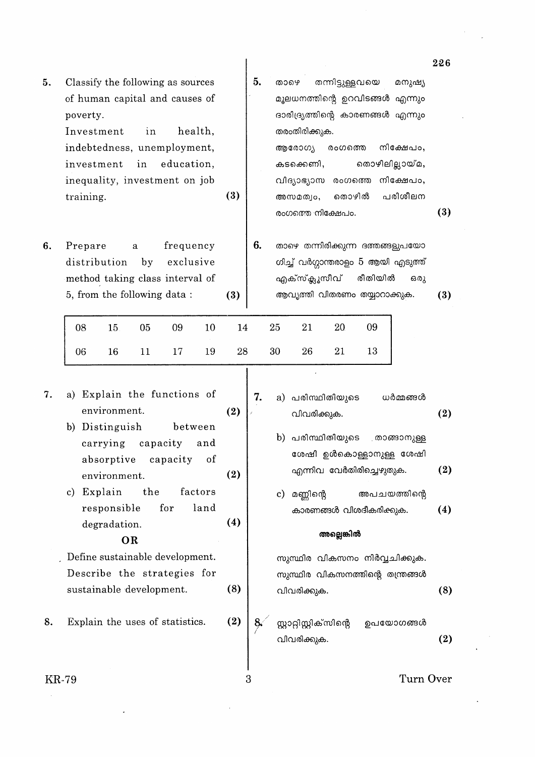| 5. | Classify the following as sources |     | 5. | തന്നിട്ടുള്ളവയെ<br>മനുഷ്യ<br>താഴെ          |     |
|----|-----------------------------------|-----|----|--------------------------------------------|-----|
|    | of human capital and causes of    |     |    | മൂലധനത്തിന്റെ ഉറവിടങ്ങൾ എന്നും             |     |
|    | poverty.                          |     |    | ദാരിദ്ര്യത്തിന്റെ കാരണങ്ങൾ എന്നും          |     |
|    | Investment<br>health,<br>in       |     |    | തരംതിരിക്കുക.                              |     |
|    | indebtedness, unemployment,       |     |    | നിക്ഷേപം,<br>ആരോഗ്യ<br>രംഗത്തെ             |     |
|    | in<br>education,<br>investment    |     |    | തൊഴിലില്ലായ്മ,<br>കടക്കെണി,                |     |
|    | inequality, investment on job     |     |    | നിക്ഷേപം,<br>വിദ്യാഭ്യാസ<br>രംഗത്തെ        |     |
|    | training.                         | (3) |    | പരിശീലന<br>തൊഴിൽ<br>അസമത്വം,               |     |
|    |                                   |     |    | രംഗത്തെ നിക്ഷേപം.                          | (3) |
| 6. | frequency<br>Prepare<br>a         |     | 6. | താഴെ തന്നിരിക്കുന്ന ദത്തങ്ങളുപയോ           |     |
|    | distribution<br>exclusive<br>by   |     |    | ഗിച്ച് വർഗ്ഗാന്തരാളം 5 ആയി എടുത്ത്         |     |
|    | method taking class interval of   |     |    | എക്സ്ക്ലൂസീവ്<br>രീതിയിൽ<br>ഒരു            |     |
|    | 5, from the following data:       | (3) |    | ആവൃത്തി വിതരണം തയ്യാറാക്കുക.               | (3) |
|    |                                   |     |    |                                            |     |
|    | 08<br>09<br>10<br>15.<br>05       | 14  |    | 25<br>20<br>09<br>21                       |     |
|    | 19<br>06<br>16<br>11<br>17        | 28  |    | 30<br>26<br>21<br>13                       |     |
|    |                                   |     |    |                                            |     |
| 7. | a) Explain the functions of       |     | 7. |                                            |     |
|    | environment.                      | (2) |    | a) പരിസ്ഥിതിയുടെ<br>ധർമ്മങ്ങൾ              |     |
|    | b) Distinguish<br>between         |     |    | വിവരിക്കുക.                                | (2) |
|    | carrying<br>capacity<br>and       |     |    | b) പരിസ്ഥിതിയുടെ<br>. താങ്ങാനുള്ള          |     |
|    |                                   |     |    | ശേഷി ഉൾകൊള്ളാനുള്ള ശേഷി                    |     |
|    | of<br>absorptive<br>capacity      | (2) |    | എന്നിവ വേർതിരിച്ചെഴുതുക.                   | (2) |
|    | environment.                      |     |    |                                            |     |
|    | the<br>Explain<br>factors<br>c)   |     |    | മണ്ണിന്റെ<br>അപചയത്തിന്റെ<br>$\mathbf{c})$ |     |
|    | for<br>land<br>responsible        |     |    | കാരണങ്ങൾ വിശദീകരിക്കുക.                    | (4) |
|    | degradation.                      | (4) |    | അല്ലെങ്കിൽ                                 |     |
|    | OR                                |     |    |                                            |     |

 $(8)$ 

 $(2)$ 

3

. Define sustainable development. Describe the strategies for sustainable development.

Explain the uses of statistics. 8.

സുസ്ഥിര വികസനം നിർവ്വചിക്കുക. സുസ്ഥിര വികസനത്തിന്റെ തന്ത്രങ്ങൾ  $(8)$ വിവരിക്കുക.

സ്റ്റാറ്റിസ്റ്റിക്സിന്റെ  $8<sub>1</sub>$ ഉപയോഗങ്ങൾ  $(2)$ വിവരിക്കുക.

**KR-79** 

Turn Over

226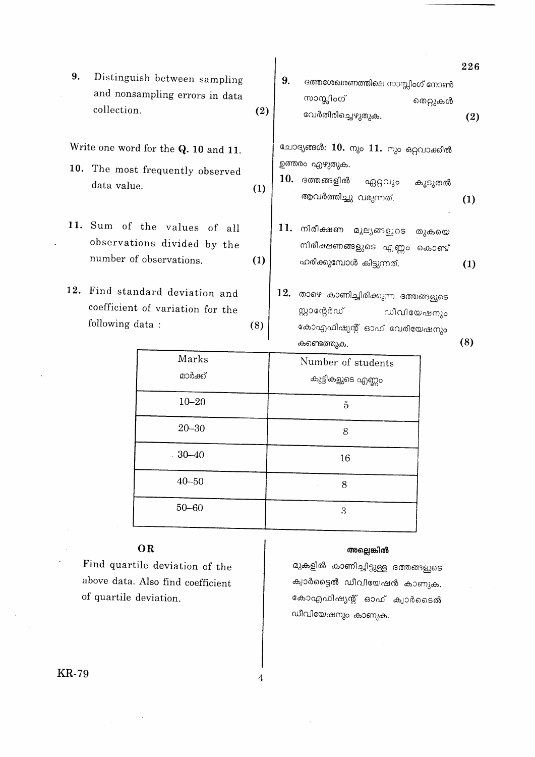|    |                                                                                        |     |                                                                                                                        | 226 |
|----|----------------------------------------------------------------------------------------|-----|------------------------------------------------------------------------------------------------------------------------|-----|
| 9. | Distinguish between sampling<br>and nonsampling errors in data<br>collection.          | (2) | 9.<br>ദത്തശേഖരണത്തിലെ സാസ്സിംഗ് നോൺ<br>സാസ്സിംഗ്<br>തെറ്റുകൾ<br>വേർതിരിച്ചെഴുതുക.                                      | (2) |
|    | Write one word for the Q. 10 and 11.                                                   |     | ചോദ്യങ്ങൾ: $10.$ നും $11.$ നും ഒറ്റവാക്കിൽ                                                                             |     |
|    | 10. The most frequently observed<br>data value.                                        | (1) | ഉത്തരം എഴുതുക.<br>10.<br>ദത്തങ്ങളിൽ<br>ഏറ്റവും<br>കൂടുതൽ<br>ആവർത്തിച്ചു വരുന്നത്.                                      | (1) |
|    | 11. Sum of the values of all<br>observations divided by the<br>number of observations. | (1) | 11.<br>നിരീക്ഷണ<br>മൂല്യങ്ങളുടെ<br>തുകയെ<br>നിരീക്ഷണങ്ങളുടെ എണ്ണം കൊണ്ട്<br>ഹരിക്കുമ്പോൾ കിട്ടുന്നത്.                  | (1) |
|    | 12. Find standard deviation and<br>coefficient of variation for the<br>following data: | (8) | 12.<br>താഴെ കാണിച്ചിരിക്കുന്ന ദത്തങ്ങളുടെ<br>സ്റ്റാന്റേർഡ്<br>ഡീവിയേഷനും<br>കോഎഫിഷ്യന്റ് ഓഫ് വേരിയേഷനും<br>കണ്ടെത്തുക. | (8) |
|    | $M_{\odot}$ $\sim$ $\sim$                                                              |     |                                                                                                                        |     |

| Marks<br>മാർക്ക് | Number of students<br>കുട്ടികളുടെ എണ്ണം |
|------------------|-----------------------------------------|
| $10 - 20$        | 5                                       |
| $20 - 30$        | 8                                       |
| $-30 - 40$       | 16                                      |
| $40 - 50$        | 8                                       |
| $50 - 60$        | З                                       |

# OR

Find quartile deviation of the above data. Also find coefficient of quartile deviation.

# അല്ലെങ്കിൽ

മുകളിൽ കാണിച്ചിട്ടുള്ള ദത്തങ്ങളുടെ ക്വാർട്ടൈ<mark>ൽ ഡീവിയേഷൻ കാണുക.</mark> കോഎഫിഷ്യന്റ് ഓഫ് ക്വാർടൈൽ ഡീവിയേഷനും കാണുക.

 $\overline{4}$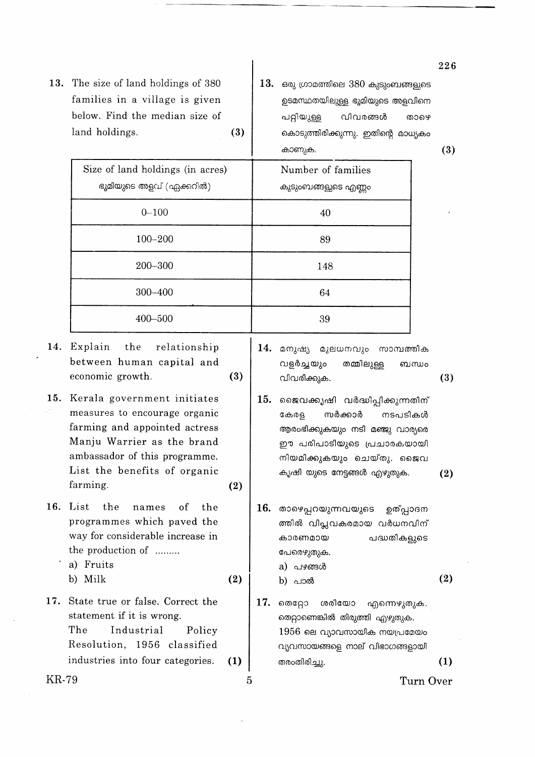- 13. The size of land holdings of 380 families in a village is given below. Find the median size of land holdings.  $(3)$
- $13.$  ഒരു ഗ്രാമത്തിലെ  $380$  കുടുംബങ്ങളുടെ ഉടമസ്ഥതയിലുള്ള ഭൂമിയുടെ അളവിനെ വിവരങ്ങൾ പറ്റിയുള്ള താഴെ കൊടുത്തിരിക്കുന്നു. ഇതിന്റെ മാധ്യകം കാണുക

 $(3)$ 

|       |                                                                                                                                                                                                          |     |     |                                                                                                                                                                                           | 19) |
|-------|----------------------------------------------------------------------------------------------------------------------------------------------------------------------------------------------------------|-----|-----|-------------------------------------------------------------------------------------------------------------------------------------------------------------------------------------------|-----|
|       | Size of land holdings (in acres)                                                                                                                                                                         |     |     | Number of families                                                                                                                                                                        |     |
|       | ഭൂമിയുടെ അളവ് (ഏക്കറിൽ)                                                                                                                                                                                  |     |     | കുടുംബങ്ങളുടെ എണ്ണം                                                                                                                                                                       |     |
|       | $0 - 100$                                                                                                                                                                                                |     |     | 40                                                                                                                                                                                        |     |
|       | $100 - 200$                                                                                                                                                                                              |     |     | 89                                                                                                                                                                                        |     |
|       | 200-300                                                                                                                                                                                                  |     |     | 148                                                                                                                                                                                       |     |
|       | 300-400                                                                                                                                                                                                  |     |     | 64                                                                                                                                                                                        |     |
|       | 400-500                                                                                                                                                                                                  |     |     | 39                                                                                                                                                                                        |     |
| 14.   | Explain<br>the<br>relationship<br>between human capital and<br>economic growth.                                                                                                                          | (3) | 14. | മനുഷ്യ<br>മൂലധനവും<br>സാമ്പത്തിക<br>വളർച്ചയും<br>തമ്മിലുള്ള<br>ബന്ധം<br>വിവരിക്കുക.                                                                                                       | (3) |
| 15.   | Kerala government initiates<br>measures to encourage organic<br>farming and appointed actress<br>Manju Warrier as the brand<br>ambassador of this programme.<br>List the benefits of organic<br>farming. | (2) | 15. | ജൈവക്കൃഷി വർദ്ധിപ്പിക്കുന്നതിന്<br>സർക്കാർ<br>നടപടികൾ<br>കേരള<br>ആരംഭിക്കുകയും നടി മഞ്ജു വാര്യരെ<br>ഈ പരിപാടിയുടെ പ്രചാരകയായി<br>നിയമിക്കുകയും ചെയ്തു. ജൈവ<br>കൃഷി യുടെ നേട്ടങ്ങൾ എഴുതുക. | (2) |
| 16.   | List<br>the<br>of<br>the<br>names<br>programmes which paved the<br>way for considerable increase in<br>the production of<br>a) Fruits<br>b) Milk                                                         | (2) | 16. | താഴെപ്പറയുന്നവയുടെ ഉത്പ്പാദന<br>ത്തിൽ വിപ്ലവകരമായ വർധനവിന്<br>പദ്ധതികളുടെ<br>കാരണമായ<br>പേരെഴുതുക.<br>a) പഴങ്ങൾ<br>b) പാൽ                                                                 | (2) |
| 17.   | State true or false. Correct the<br>statement if it is wrong.<br>The<br>Industrial<br>Policy<br>Resolution, 1956 classified<br>industries into four categories.                                          | (1) | 17. | ശരിയോ<br>തെറ്റോ<br>എന്നെഴുതുക.<br>തെറ്റാണെങ്കിൽ തിരുത്തി എഴുതുക.<br>$1956$ ലെ വ്യാവസായിക നയപ്രമേയം<br>വ്യവസായങ്ങളെ നാല് വിഭാഗങ്ങളായി<br>തരംതിരിച്ചു.                                      | (1) |
| KR-79 |                                                                                                                                                                                                          | 5   |     | Turn Over                                                                                                                                                                                 |     |
|       |                                                                                                                                                                                                          |     |     |                                                                                                                                                                                           |     |

226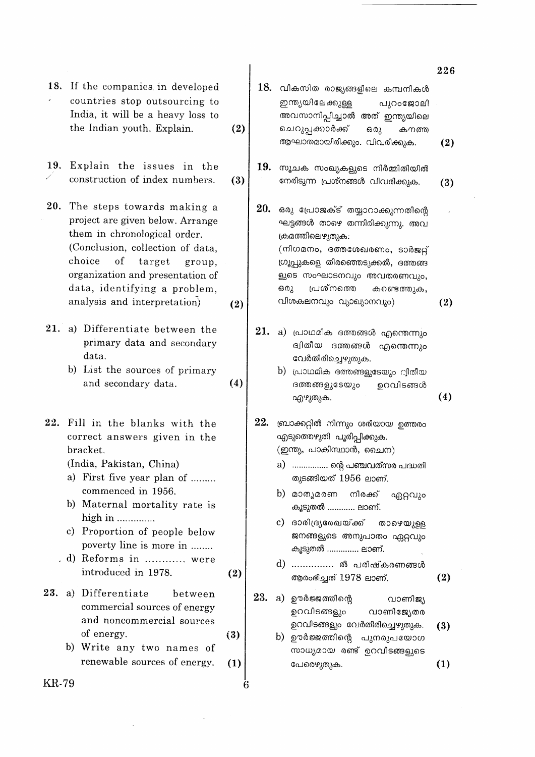|       | 18. If the companies in developed<br>countries stop outsourcing to<br>India, it will be a heavy loss to<br>the Indian youth. Explain.                                                                                                                                                                           | (2)        |     | ${\bf 18.}$ വികസിത രാജ്യങ്ങളിലെ കമ്പനികൾ<br>ഇന്ത്യയിലേക്കുള്ള<br>പുറംജോലി<br>അവസാനിപ്പിച്ചാൽ അത് ഇന്ത്യയിലെ<br>ചെറുപ്പക്കാർക്ക്<br>ഒരു<br>കനത്ത<br>ആഘാതമായിരിക്കും. വിവരിക്കുക.                                                                                                                                                         |
|-------|-----------------------------------------------------------------------------------------------------------------------------------------------------------------------------------------------------------------------------------------------------------------------------------------------------------------|------------|-----|-----------------------------------------------------------------------------------------------------------------------------------------------------------------------------------------------------------------------------------------------------------------------------------------------------------------------------------------|
| 19.   | Explain the issues in the<br>construction of index numbers.                                                                                                                                                                                                                                                     | (3)        | 19. | സൂചക സംഖ്യകളുടെ നിർമ്മിതിയിൽ<br>നേരിടുന്ന പ്രശ്നങ്ങൾ വിവരിക്കുക.                                                                                                                                                                                                                                                                        |
|       | 20. The steps towards making a<br>project are given below. Arrange<br>them in chronological order.<br>(Conclusion, collection of data,<br>choice<br>of<br>target<br>group,<br>organization and presentation of<br>data, identifying a problem,<br>analysis and interpretation)                                  | (2)        | 20. | ഒരു പ്രോജക്ട് തയ്യാറാക്കുന്നതിന്റെ<br>ഘട്ടങ്ങൾ താഴെ തന്നിരിക്കുന്നു. അവ<br>ക്രമത്തിലെഴുതുക.<br>(നിഗമനം, ദത്തശേഖരണം, ടാർജറ്റ്<br>ഗ്രൂപ്പുകളെ തിരഞ്ഞെടുക്കൽ, ദത്തങ്ങ<br>ളുടെ സംഘാടനവും അവതരണവും,<br>പ്രശ്നത്തെ<br>ഒരു<br>കണ്ടെത്തുക,<br>വിശകലനവും വ്യാഖ്യാനവും)                                                                           |
|       | 21. a) Differentiate between the<br>primary data and secondary<br>data.<br>b) List the sources of primary<br>and secondary data.                                                                                                                                                                                | (4)        |     | $21.$ a) പ്രാഥമിക ദത്തങ്ങൾ എന്തെന്നും<br>ദ്വിതീയ ദത്തങ്ങൾ എന്തെന്നും<br>വേർതിരിച്ചെഴുതുക.<br>b) പ്രാഥമിക ദത്തങ്ങളുടേയും വിതീയ<br>ദത്തങ്ങളുടേയും<br>ഉറവിടങ്ങൾ<br>എഴുതുക.                                                                                                                                                                 |
| 22.   | Fill in the blanks with the<br>correct answers given in the<br>bracket.<br>(India, Pakistan, China)<br>a) First five year plan of<br>commenced in 1956.<br>b) Maternal mortality rate is<br>high in<br>c) Proportion of people below<br>poverty line is more in<br>. d) Reforms in  were<br>introduced in 1978. | (2)        | 22. | ബ്രാക്കറ്റിൽ നിന്നും ശരിയായ ഉത്തരം<br>എടുത്തെഴുതി പൂരിപ്പിക്കുക.<br>(ഇന്ത്യ, പാകിസ്ഥാൻ, ചൈന)<br>a) ……………. ന്റെ പഞ്ചവത്സര പദ്ധതി<br>തുടങ്ങിയത് 1956 ലാണ്.<br>b) മാതൃമരണ നിരക്ക് ഏറ്റവും<br>കൂടുതൽ  ലാണ്.<br>c) ദാരിദ്ര്യരേഖയ്ക്ക് താഴെയുള്ള<br>ജനങ്ങളുടെ അനുപാതം ഏറ്റവും<br>കൂടുതൽ  ലാണ്.<br>d)  ൽ പരിഷ്കരണങ്ങൾ<br>ആരംഭിച്ചത് 1978 ലാണ്. |
| 23.   | a) Differentiate<br>between<br>commercial sources of energy<br>and noncommercial sources<br>of energy.<br>b) Write any two names of<br>renewable sources of energy.                                                                                                                                             | (3)<br>(1) | 23. | a) ഊർജ്ജത്തിന്റെ<br>വാണിജ്യ<br>ഉറവിടങ്ങളും<br>വാണിജ്യേതര<br>ഉറവിടങ്ങളും വേർതിരിച്ചെഴുതുക.<br>b) ഊർജ്ജത്തിന്റെ പുനരുപയോഗ<br>സാധ്യമായ രണ്ട് ഉറവിടങ്ങളുടെ<br>പേരെഴുതുക.                                                                                                                                                                    |
| KR-79 |                                                                                                                                                                                                                                                                                                                 | 6          |     |                                                                                                                                                                                                                                                                                                                                         |

 $\Delta \sim 1$ 

 $\mathcal{L}_{\text{max}}$ 

 $\overline{226}$ 

 $(2)$ 

 $(3)$ 

 $\hat{\mathcal{A}}$ 

 $(2)$ 

 $(4)$ 

 $(2)$ 

 $(3)$ 

 $(1)$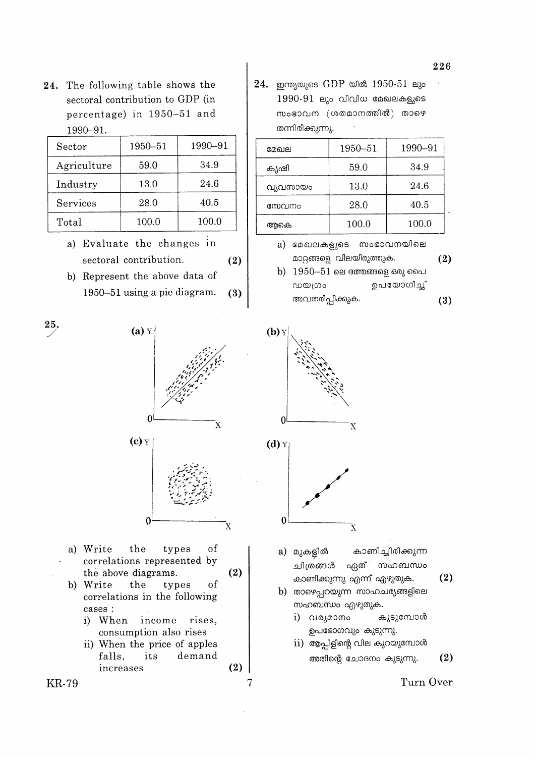24. The following table shows the sectoral contribution to GDP (in percentage) in 1950-51 and 1990-91.

| Sector      | 1950-51 | 1990-91 |
|-------------|---------|---------|
| Agriculture | 59.0    | 34.9    |
| Industry    | 13.0    | 24.6    |
| Services    | 28.0    | 40.5    |
| Total       | 100.0   | 100.0   |

- a) Evaluate the changes in sectoral contribution.
- b) Represent the above data of 1950-51 using a pie diagram.  $(3)$

 $(2)$ 

 $24.$  ഇന്ത്യയുടെ  $GDP$  യിൽ  $1950-51$  ലും  $1990-91$  ലും വിവിധ മേഖലകളുടെ സംഭാവന (ശതമാനത്തിൽ) താഴെ തന്നിരിക്കുന്നു.

| മേഖല     | 1950-51 | 1990-91 |
|----------|---------|---------|
| കൃഷി     | 59.0    | 34.9    |
| വ്യവസായം | 13.0    | 24.6    |
| സേവനം    | 28.0    | 40.5    |
| അകെ      | 100.0   | 100.0   |

- a) മേഖലകളുടെ സംഭാവനയിലെ മാറ്റങ്ങളെ വിലയിരുത്തുക.  $(2)$
- $b)$  1950–51 ലെ ദത്തങ്ങളെ ഒരു പൈ ൜യശം ഉപയോഗിച് അവതരിപ്പിക്കുക.  $(3)$



a) Write

 $25.$ 

226